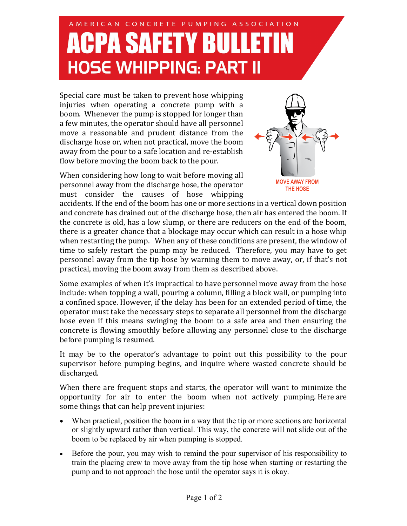## AMERICAN CONCRETE PUMPING ASSOCIATION **ACPA SAFETY BULLETIN HOSE WHIPPING: PART II**

Special care must be taken to prevent hose whipping injuries when operating a concrete pump with a boom. Whenever the pump is stopped for longer than a few minutes, the operator should have all personnel move a reasonable and prudent distance from the discharge hose or, when not practical, move the boom away from the pour to a safe location and re-establish flow before moving the boom back to the pour.

When considering how long to wait before moving all personnel away from the discharge hose, the operator must consider the causes of hose whipping



accidents. If the end of the boom has one or more sections in a vertical down position and concrete has drained out of the discharge hose, then air has entered the boom. If the concrete is old, has a low slump, or there are reducers on the end of the boom, there is a greater chance that a blockage may occur which can result in a hose whip when restarting the pump. When any of these conditions are present, the window of time to safely restart the pump may be reduced. Therefore, you may have to get personnel away from the tip hose by warning them to move away, or, if that's not practical, moving the boom away from them as described above.

Some examples of when it's impractical to have personnel move away from the hose include: when topping a wall, pouring a column, filling a block wall, or pumping into a confined space. However, if the delay has been for an extended period of time, the operator must take the necessary steps to separate all personnel from the discharge hose even if this means swinging the boom to a safe area and then ensuring the concrete is flowing smoothly before allowing any personnel close to the discharge before pumping is resumed.

It may be to the operator's advantage to point out this possibility to the pour supervisor before pumping begins, and inquire where wasted concrete should be discharged.

When there are frequent stops and starts, the operator will want to minimize the opportunity for air to enter the boom when not actively pumping. Here are some things that can help prevent injuries:

- When practical, position the boom in a way that the tip or more sections are horizontal or slightly upward rather than vertical. This way, the concrete will not slide out of the boom to be replaced by air when pumping is stopped.
- Before the pour, you may wish to remind the pour supervisor of his responsibility to train the placing crew to move away from the tip hose when starting or restarting the pump and to not approach the hose until the operator says it is okay.